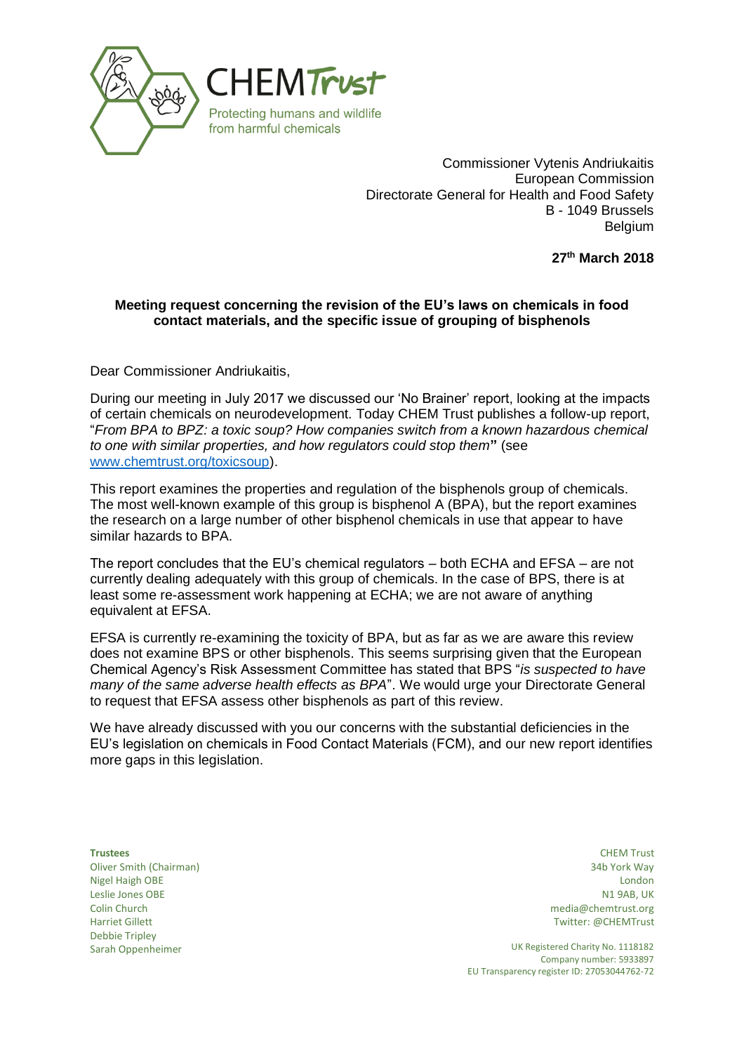

Commissioner Vytenis Andriukaitis European Commission Directorate General for Health and Food Safety B - 1049 Brussels Belgium

**27 th March 2018**

## **Meeting request concerning the revision of the EU's laws on chemicals in food contact materials, and the specific issue of grouping of bisphenols**

Dear Commissioner Andriukaitis,

During our meeting in July 2017 we discussed our 'No Brainer' report, looking at the impacts of certain chemicals on neurodevelopment. Today CHEM Trust publishes a follow-up report, "*From BPA to BPZ: a toxic soup? How companies switch from a known hazardous chemical to one with similar properties, and how regulators could stop them***"** (see [www.chemtrust.org/toxicsoup\)](http://www.chemtrust.org/toxicsoup).

This report examines the properties and regulation of the bisphenols group of chemicals. The most well-known example of this group is bisphenol A (BPA), but the report examines the research on a large number of other bisphenol chemicals in use that appear to have similar hazards to BPA.

The report concludes that the EU's chemical regulators – both ECHA and EFSA – are not currently dealing adequately with this group of chemicals. In the case of BPS, there is at least some re-assessment work happening at ECHA; we are not aware of anything equivalent at EFSA.

EFSA is currently re-examining the toxicity of BPA, but as far as we are aware this review does not examine BPS or other bisphenols. This seems surprising given that the European Chemical Agency's Risk Assessment Committee has stated that BPS "*is suspected to have many of the same adverse health effects as BPA*". We would urge your Directorate General to request that EFSA assess other bisphenols as part of this review.

We have already discussed with you our concerns with the substantial deficiencies in the EU's legislation on chemicals in Food Contact Materials (FCM), and our new report identifies more gaps in this legislation.

Oliver Smith (Chairman) 34b York Way Nigel Haigh OBE London Leslie Jones OBE Colin Church Harriet Gillett Debbie Tripley

**Trustees** CHEM Trust N1 9AB, UK media@chemtrust.org Twitter: @CHEMTrust

Sarah Oppenheimer **UK Registered Charity No. 1118182** Company number: 5933897 EU Transparency register ID: 27053044762-72